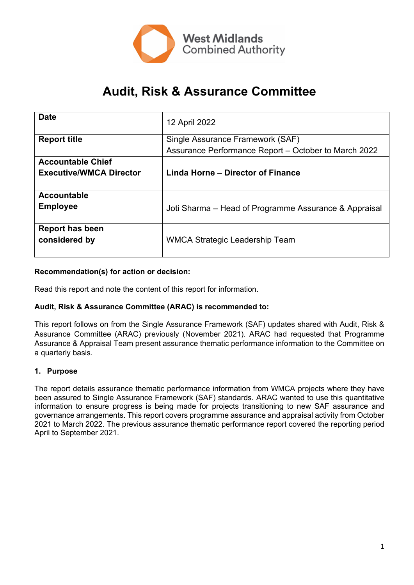

# **Audit, Risk & Assurance Committee**

| <b>Date</b>                    | 12 April 2022                                         |
|--------------------------------|-------------------------------------------------------|
| <b>Report title</b>            | Single Assurance Framework (SAF)                      |
|                                | Assurance Performance Report - October to March 2022  |
| <b>Accountable Chief</b>       |                                                       |
| <b>Executive/WMCA Director</b> | Linda Horne - Director of Finance                     |
|                                |                                                       |
| Accountable                    |                                                       |
| <b>Employee</b>                | Joti Sharma – Head of Programme Assurance & Appraisal |
|                                |                                                       |
| <b>Report has been</b>         |                                                       |
| considered by                  | WMCA Strategic Leadership Team                        |
|                                |                                                       |

#### **Recommendation(s) for action or decision:**

Read this report and note the content of this report for information.

#### **Audit, Risk & Assurance Committee (ARAC) is recommended to:**

This report follows on from the Single Assurance Framework (SAF) updates shared with Audit, Risk & Assurance Committee (ARAC) previously (November 2021). ARAC had requested that Programme Assurance & Appraisal Team present assurance thematic performance information to the Committee on a quarterly basis.

#### **1. Purpose**

The report details assurance thematic performance information from WMCA projects where they have been assured to Single Assurance Framework (SAF) standards. ARAC wanted to use this quantitative information to ensure progress is being made for projects transitioning to new SAF assurance and governance arrangements. This report covers programme assurance and appraisal activity from October 2021 to March 2022. The previous assurance thematic performance report covered the reporting period April to September 2021.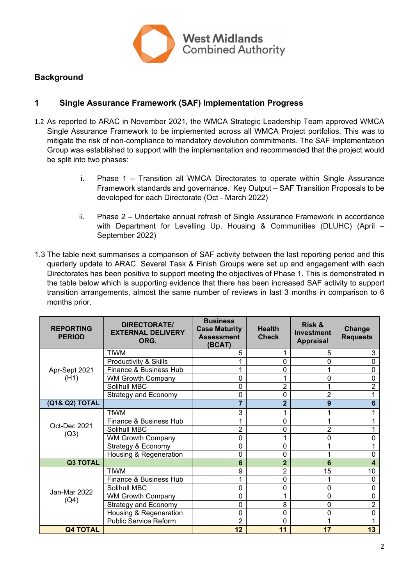

## **Background**

## **1 Single Assurance Framework (SAF) Implementation Progress**

- 1.2 As reported to ARAC in November 2021, the WMCA Strategic Leadership Team approved WMCA Single Assurance Framework to be implemented across all WMCA Project portfolios. This was to mitigate the risk of non-compliance to mandatory devolution commitments. The SAF Implementation Group was established to support with the implementation and recommended that the project would be split into two phases:
	- i. Phase 1 Transition all WMCA Directorates to operate within Single Assurance Framework standards and governance. Key Output – SAF Transition Proposals to be developed for each Directorate (Oct - March 2022)
	- ii. Phase 2 Undertake annual refresh of Single Assurance Framework in accordance with Department for Levelling Up, Housing & Communities (DLUHC) (April – September 2022)
- 1.3 The table next summarises a comparison of SAF activity between the last reporting period and this quarterly update to ARAC. Several Task & Finish Groups were set up and engagement with each Directorates has been positive to support meeting the objectives of Phase 1. This is demonstrated in the table below which is supporting evidence that there has been increased SAF activity to support transition arrangements, almost the same number of reviews in last 3 months in comparison to 6 months prior.

| <b>REPORTING</b><br><b>PERIOD</b> | <b>DIRECTORATE/</b><br><b>EXTERNAL DELIVERY</b><br>ORG. | <b>Business</b><br><b>Case Maturity</b><br><b>Assessment</b><br>(BCAT) | <b>Health</b><br><b>Check</b> | <b>Risk &amp;</b><br><b>Investment</b><br><b>Appraisal</b> | <b>Change</b><br><b>Requests</b> |
|-----------------------------------|---------------------------------------------------------|------------------------------------------------------------------------|-------------------------------|------------------------------------------------------------|----------------------------------|
| Apr-Sept 2021                     | <b>TfWM</b>                                             | 5                                                                      | 1                             | 5                                                          | 3                                |
|                                   | Productivity & Skills                                   | 1                                                                      | 0                             | 0                                                          | 0                                |
|                                   | Finance & Business Hub                                  | 1                                                                      | 0                             |                                                            | 0                                |
| (H1)                              | <b>WM Growth Company</b>                                | $\mathbf 0$                                                            | 1                             | 0                                                          | 0                                |
|                                   | Solihull MBC                                            | 0                                                                      | 2                             |                                                            | $\overline{2}$                   |
|                                   | <b>Strategy and Economy</b>                             | 0                                                                      | 0                             | $\overline{2}$                                             |                                  |
| (Q1& Q2) TOTAL                    |                                                         | $\overline{7}$                                                         | $\overline{2}$                | 9                                                          | 6                                |
|                                   | <b>TfWM</b>                                             | 3                                                                      | 1                             |                                                            |                                  |
|                                   | Finance & Business Hub                                  | 1                                                                      | 0                             |                                                            |                                  |
| Oct-Dec 2021<br>(Q3)              | Solihull MBC                                            | $\overline{2}$                                                         | 0                             | $\overline{2}$                                             |                                  |
|                                   | <b>WM Growth Company</b>                                | 0                                                                      | 1                             | 0                                                          | 0                                |
|                                   | Strategy & Economy                                      | 0                                                                      | 0                             |                                                            |                                  |
|                                   | Housing & Regeneration                                  | 0                                                                      | 0                             |                                                            | 0                                |
| <b>Q3 TOTAL</b>                   |                                                         | 6                                                                      | $\overline{2}$                | 6                                                          | 4                                |
| Jan-Mar 2022<br>(Q4)              | <b>TfWM</b>                                             | 9                                                                      | $\overline{2}$                | 15                                                         | 10                               |
|                                   | Finance & Business Hub                                  | 1                                                                      | 0                             |                                                            | 0                                |
|                                   | Solihull MBC                                            | 0                                                                      | 0                             | 0                                                          | 0                                |
|                                   | <b>WM Growth Company</b>                                | $\mathbf 0$                                                            | 1                             | 0                                                          | $\mathbf 0$                      |
|                                   | <b>Strategy and Economy</b>                             | 0                                                                      | 8                             | 0                                                          | 2                                |
|                                   | Housing & Regeneration                                  | 0                                                                      | 0                             | 0                                                          | 0                                |
|                                   | <b>Public Service Reform</b>                            | $\overline{2}$                                                         | 0                             |                                                            |                                  |
| <b>Q4 TOTAL</b>                   |                                                         | 12                                                                     | 11                            | 17                                                         | 13                               |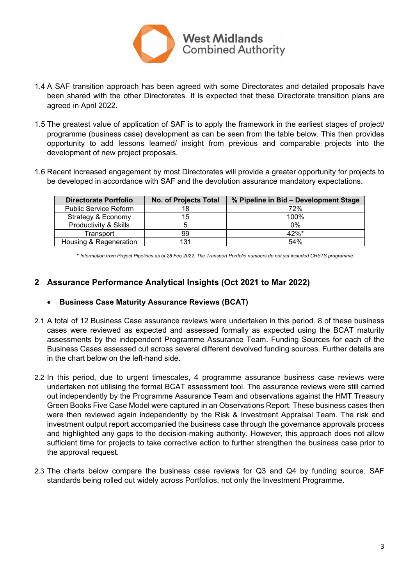

- 1.4 A SAF transition approach has been agreed with some Directorates and detailed proposals have been shared with the other Directorates. It is expected that these Directorate transition plans are agreed in April 2022.
- 1.5 The greatest value of application of SAF is to apply the framework in the earliest stages of project/ programme (business case) development as can be seen from the table below. This then provides opportunity to add lessons learned/ insight from previous and comparable projects into the development of new project proposals.
- 1.6 Recent increased engagement by most Directorates will provide a greater opportunity for projects to be developed in accordance with SAF and the devolution assurance mandatory expectations.

| <b>Directorate Portfolio</b>     | <b>No. of Projects Total</b> | % Pipeline in Bid - Development Stage |
|----------------------------------|------------------------------|---------------------------------------|
| <b>Public Service Reform</b>     | 18                           | 72%                                   |
| Strategy & Economy               | 15                           | 100%                                  |
| <b>Productivity &amp; Skills</b> |                              | $0\%$                                 |
| Transport                        | 99                           | $42%$ *                               |
| Housing & Regeneration           | 131                          | 54%                                   |

\* Information from Project Pipelines as of 28 Feb 2022. The Transport Portfolio numbers do not yet included CRSTS programme.

### **2 Assurance Performance Analytical Insights (Oct 2021 to Mar 2022)**

#### **Business Case Maturity Assurance Reviews (BCAT)**

- 2.1 A total of 12 Business Case assurance reviews were undertaken in this period. 8 of these business cases were reviewed as expected and assessed formally as expected using the BCAT maturity assessments by the independent Programme Assurance Team. Funding Sources for each of the Business Cases assessed cut across several different devolved funding sources. Further details are in the chart below on the left-hand side.
- 2.2 In this period, due to urgent timescales, 4 programme assurance business case reviews were undertaken not utilising the formal BCAT assessment tool. The assurance reviews were still carried out independently by the Programme Assurance Team and observations against the HMT Treasury Green Books Five Case Model were captured in an Observations Report. These business cases then were then reviewed again independently by the Risk & Investment Appraisal Team. The risk and investment output report accompanied the business case through the governance approvals process and highlighted any gaps to the decision-making authority. However, this approach does not allow sufficient time for projects to take corrective action to further strengthen the business case prior to the approval request.
- 2.3 The charts below compare the business case reviews for Q3 and Q4 by funding source. SAF standards being rolled out widely across Portfolios, not only the Investment Programme.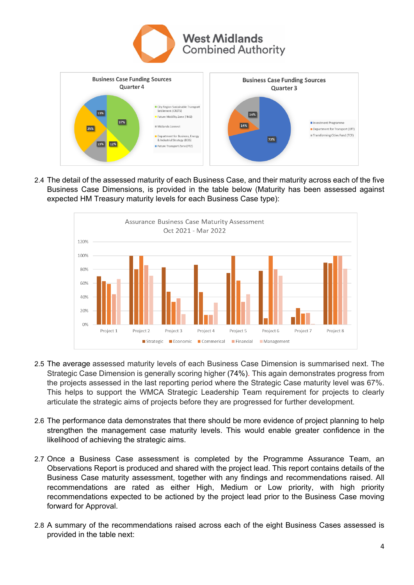



2.4 The detail of the assessed maturity of each Business Case, and their maturity across each of the five Business Case Dimensions, is provided in the table below (Maturity has been assessed against expected HM Treasury maturity levels for each Business Case type):



- 2.5 The average assessed maturity levels of each Business Case Dimension is summarised next. The Strategic Case Dimension is generally scoring higher (74%). This again demonstrates progress from the projects assessed in the last reporting period where the Strategic Case maturity level was 67%. This helps to support the WMCA Strategic Leadership Team requirement for projects to clearly articulate the strategic aims of projects before they are progressed for further development.
- 2.6 The performance data demonstrates that there should be more evidence of project planning to help strengthen the management case maturity levels. This would enable greater confidence in the likelihood of achieving the strategic aims.
- 2.7 Once a Business Case assessment is completed by the Programme Assurance Team, an Observations Report is produced and shared with the project lead. This report contains details of the Business Case maturity assessment, together with any findings and recommendations raised. All recommendations are rated as either High, Medium or Low priority, with high priority recommendations expected to be actioned by the project lead prior to the Business Case moving forward for Approval.
- 2.8 A summary of the recommendations raised across each of the eight Business Cases assessed is provided in the table next: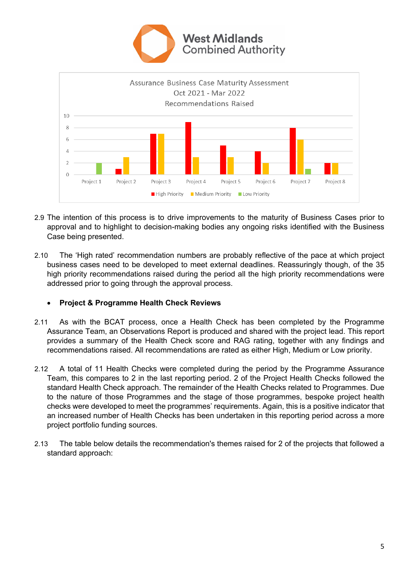



- 2.9 The intention of this process is to drive improvements to the maturity of Business Cases prior to approval and to highlight to decision-making bodies any ongoing risks identified with the Business Case being presented.
- 2.10 The 'High rated' recommendation numbers are probably reflective of the pace at which project business cases need to be developed to meet external deadlines. Reassuringly though, of the 35 high priority recommendations raised during the period all the high priority recommendations were addressed prior to going through the approval process.

#### **Project & Programme Health Check Reviews**

- 2.11 As with the BCAT process, once a Health Check has been completed by the Programme Assurance Team, an Observations Report is produced and shared with the project lead. This report provides a summary of the Health Check score and RAG rating, together with any findings and recommendations raised. All recommendations are rated as either High, Medium or Low priority.
- 2.12 A total of 11 Health Checks were completed during the period by the Programme Assurance Team, this compares to 2 in the last reporting period. 2 of the Project Health Checks followed the standard Health Check approach. The remainder of the Health Checks related to Programmes. Due to the nature of those Programmes and the stage of those programmes, bespoke project health checks were developed to meet the programmes' requirements. Again, this is a positive indicator that an increased number of Health Checks has been undertaken in this reporting period across a more project portfolio funding sources.
- 2.13 The table below details the recommendation's themes raised for 2 of the projects that followed a standard approach: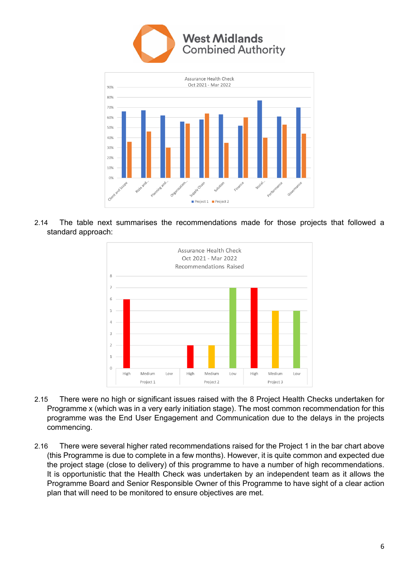



2.14 The table next summarises the recommendations made for those projects that followed a standard approach:



- 2.15 There were no high or significant issues raised with the 8 Project Health Checks undertaken for Programme x (which was in a very early initiation stage). The most common recommendation for this programme was the End User Engagement and Communication due to the delays in the projects commencing.
- 2.16 There were several higher rated recommendations raised for the Project 1 in the bar chart above (this Programme is due to complete in a few months). However, it is quite common and expected due the project stage (close to delivery) of this programme to have a number of high recommendations. It is opportunistic that the Health Check was undertaken by an independent team as it allows the Programme Board and Senior Responsible Owner of this Programme to have sight of a clear action plan that will need to be monitored to ensure objectives are met.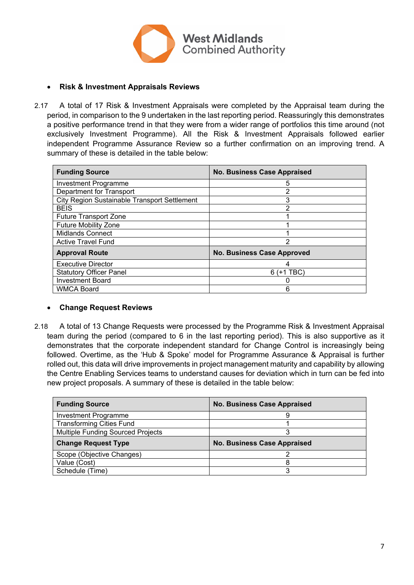

#### **Risk & Investment Appraisals Reviews**

2.17 A total of 17 Risk & Investment Appraisals were completed by the Appraisal team during the period, in comparison to the 9 undertaken in the last reporting period. Reassuringly this demonstrates a positive performance trend in that they were from a wider range of portfolios this time around (not exclusively Investment Programme). All the Risk & Investment Appraisals followed earlier independent Programme Assurance Review so a further confirmation on an improving trend. A summary of these is detailed in the table below:

| <b>Funding Source</b>                        | <b>No. Business Case Appraised</b> |
|----------------------------------------------|------------------------------------|
| <b>Investment Programme</b>                  | 5                                  |
| Department for Transport                     | 2                                  |
| City Region Sustainable Transport Settlement | 3                                  |
| <b>BEIS</b>                                  | 2                                  |
| <b>Future Transport Zone</b>                 |                                    |
| <b>Future Mobility Zone</b>                  |                                    |
| <b>Midlands Connect</b>                      |                                    |
| <b>Active Travel Fund</b>                    | 2                                  |
| <b>Approval Route</b>                        | <b>No. Business Case Approved</b>  |
| Executive Director                           | 4                                  |
| <b>Statutory Officer Panel</b>               | $6$ (+1 TBC)                       |
| <b>Investment Board</b>                      |                                    |
| <b>WMCA Board</b>                            | 6                                  |

#### **Change Request Reviews**

2.18 A total of 13 Change Requests were processed by the Programme Risk & Investment Appraisal team during the period (compared to 6 in the last reporting period). This is also supportive as it demonstrates that the corporate independent standard for Change Control is increasingly being followed. Overtime, as the 'Hub & Spoke' model for Programme Assurance & Appraisal is further rolled out, this data will drive improvements in project management maturity and capability by allowing the Centre Enabling Services teams to understand causes for deviation which in turn can be fed into new project proposals. A summary of these is detailed in the table below:

| <b>Funding Source</b>             | <b>No. Business Case Appraised</b> |
|-----------------------------------|------------------------------------|
| <b>Investment Programme</b>       |                                    |
| <b>Transforming Cities Fund</b>   |                                    |
| Multiple Funding Sourced Projects | 3                                  |
| <b>Change Request Type</b>        | <b>No. Business Case Appraised</b> |
| Scope (Objective Changes)         |                                    |
| Value (Cost)                      |                                    |
| Schedule (Time)                   | 3                                  |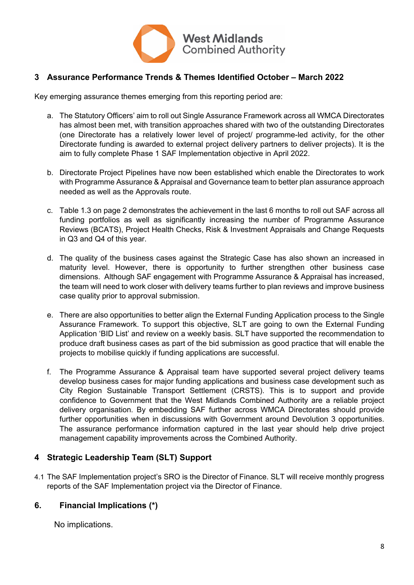

## **3 Assurance Performance Trends & Themes Identified October – March 2022**

Key emerging assurance themes emerging from this reporting period are:

- a. The Statutory Officers' aim to roll out Single Assurance Framework across all WMCA Directorates has almost been met, with transition approaches shared with two of the outstanding Directorates (one Directorate has a relatively lower level of project/ programme-led activity, for the other Directorate funding is awarded to external project delivery partners to deliver projects). It is the aim to fully complete Phase 1 SAF Implementation objective in April 2022.
- b. Directorate Project Pipelines have now been established which enable the Directorates to work with Programme Assurance & Appraisal and Governance team to better plan assurance approach needed as well as the Approvals route.
- c. Table 1.3 on page 2 demonstrates the achievement in the last 6 months to roll out SAF across all funding portfolios as well as significantly increasing the number of Programme Assurance Reviews (BCATS), Project Health Checks, Risk & Investment Appraisals and Change Requests in Q3 and Q4 of this year.
- d. The quality of the business cases against the Strategic Case has also shown an increased in maturity level. However, there is opportunity to further strengthen other business case dimensions. Although SAF engagement with Programme Assurance & Appraisal has increased, the team will need to work closer with delivery teams further to plan reviews and improve business case quality prior to approval submission.
- e. There are also opportunities to better align the External Funding Application process to the Single Assurance Framework. To support this objective, SLT are going to own the External Funding Application 'BID List' and review on a weekly basis. SLT have supported the recommendation to produce draft business cases as part of the bid submission as good practice that will enable the projects to mobilise quickly if funding applications are successful.
- f. The Programme Assurance & Appraisal team have supported several project delivery teams develop business cases for major funding applications and business case development such as City Region Sustainable Transport Settlement (CRSTS). This is to support and provide confidence to Government that the West Midlands Combined Authority are a reliable project delivery organisation. By embedding SAF further across WMCA Directorates should provide further opportunities when in discussions with Government around Devolution 3 opportunities. The assurance performance information captured in the last year should help drive project management capability improvements across the Combined Authority.

## **4 Strategic Leadership Team (SLT) Support**

4.1 The SAF Implementation project's SRO is the Director of Finance. SLT will receive monthly progress reports of the SAF Implementation project via the Director of Finance.

## **6. Financial Implications (\*)**

No implications.